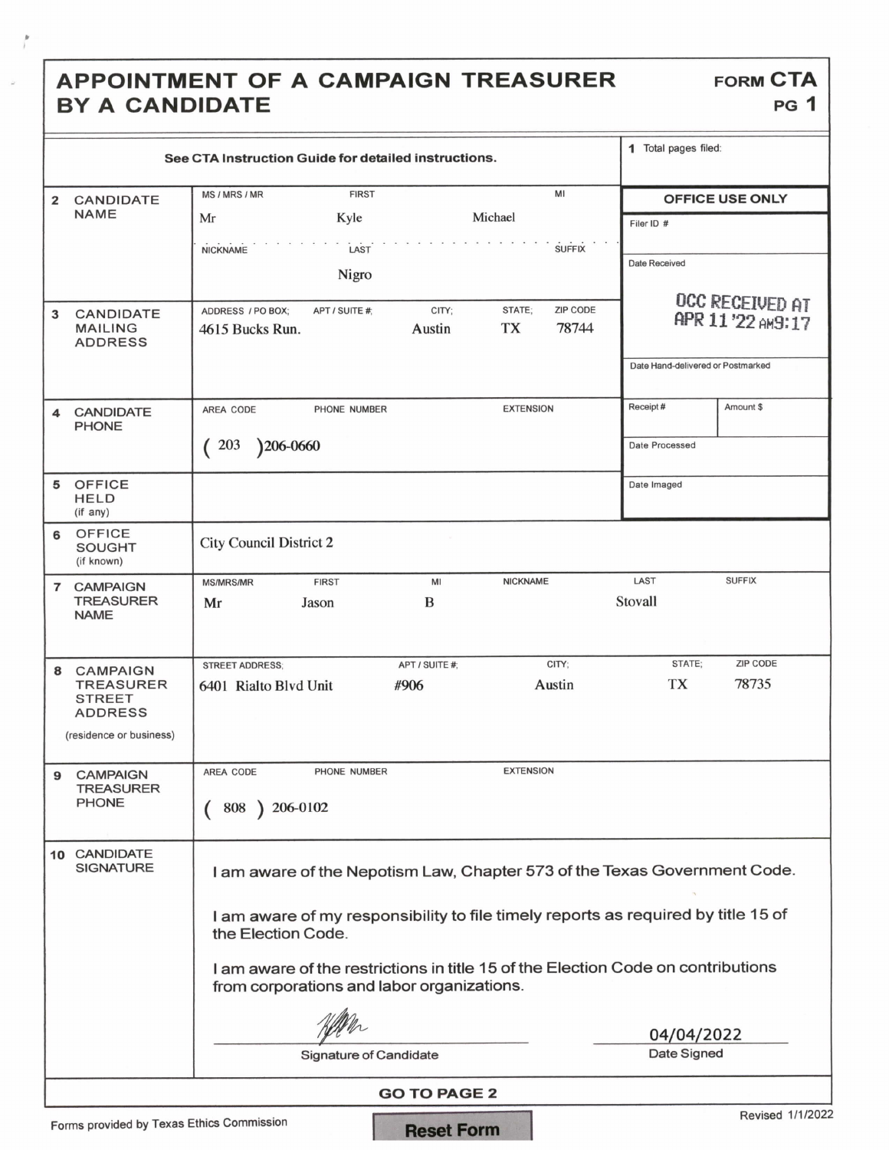## APPOINTMENT OF A CAMPAIGN TREASURER FORM CTA BY A CANDIDATE

f

| See CTA Instruction Guide for detailed instructions.     |                                                                                                                                                                                                                                                                                                                        | 1 Total pages filed:                            |                                   |                 |
|----------------------------------------------------------|------------------------------------------------------------------------------------------------------------------------------------------------------------------------------------------------------------------------------------------------------------------------------------------------------------------------|-------------------------------------------------|-----------------------------------|-----------------|
| <b>CANDIDATE</b><br>2                                    | <b>FIRST</b><br>MS / MRS / MR                                                                                                                                                                                                                                                                                          | MI                                              | <b>OFFICE USE ONLY</b>            |                 |
| <b>NAME</b>                                              | Kyle<br>Mr                                                                                                                                                                                                                                                                                                             | Michael                                         | Filer ID #                        |                 |
|                                                          | LAST<br><b>NICKNAME</b>                                                                                                                                                                                                                                                                                                | <b>SUFFIX</b>                                   |                                   |                 |
|                                                          | Nigro                                                                                                                                                                                                                                                                                                                  |                                                 | Date Received                     |                 |
|                                                          |                                                                                                                                                                                                                                                                                                                        |                                                 |                                   | OCC RECEIVED AT |
| CANDIDATE<br>3<br><b>MAILING</b><br><b>ADDRESS</b>       | ADDRESS / PO BOX:<br>APT / SUITE #:<br>CITY;<br>Austin<br>4615 Bucks Run.                                                                                                                                                                                                                                              | <b>ZIP CODE</b><br>STATE;<br><b>TX</b><br>78744 | APR 11'22 AM9:17                  |                 |
|                                                          |                                                                                                                                                                                                                                                                                                                        |                                                 | Date Hand-delivered or Postmarked |                 |
| <b>CANDIDATE</b><br>4<br><b>PHONE</b>                    | AREA CODE<br>PHONE NUMBER                                                                                                                                                                                                                                                                                              | <b>EXTENSION</b>                                | Receipt#                          | Amount \$       |
|                                                          | )206-0660<br>203                                                                                                                                                                                                                                                                                                       |                                                 | Date Processed                    |                 |
| <b>OFFICE</b><br>5<br><b>HELD</b><br>(if any)            |                                                                                                                                                                                                                                                                                                                        |                                                 | Date Imaged                       |                 |
| <b>OFFICE</b><br>6<br><b>SOUGHT</b><br>(if known)        | <b>City Council District 2</b>                                                                                                                                                                                                                                                                                         |                                                 |                                   |                 |
| 7 CAMPAIGN<br><b>TREASURER</b><br><b>NAME</b>            | <b>FIRST</b><br>MI<br><b>MS/MRS/MR</b><br>B<br>Mr<br>Jason                                                                                                                                                                                                                                                             | <b>NICKNAME</b>                                 | LAST<br>Stovall                   | <b>SUFFIX</b>   |
| <b>CAMPAIGN</b><br>8                                     | APT / SUITE #;<br><b>STREET ADDRESS:</b>                                                                                                                                                                                                                                                                               | CITY;                                           | STATE;                            | <b>ZIP CODE</b> |
| <b>TREASURER</b><br><b>STREET</b><br><b>ADDRESS</b>      | #906<br>6401 Rialto Blvd Unit                                                                                                                                                                                                                                                                                          | Austin                                          | TX                                | 78735           |
| (residence or business)                                  |                                                                                                                                                                                                                                                                                                                        |                                                 |                                   |                 |
| <b>CAMPAIGN</b><br>9<br><b>TREASURER</b><br><b>PHONE</b> | AREA CODE<br>PHONE NUMBER<br>$\big) 206 - 0102$<br>808                                                                                                                                                                                                                                                                 | <b>EXTENSION</b>                                |                                   |                 |
| 10 CANDIDATE<br><b>SIGNATURE</b>                         | I am aware of the Nepotism Law, Chapter 573 of the Texas Government Code.<br>I am aware of my responsibility to file timely reports as required by title 15 of<br>the Election Code.<br>I am aware of the restrictions in title 15 of the Election Code on contributions<br>from corporations and labor organizations. |                                                 |                                   |                 |
|                                                          | 04/04/2022                                                                                                                                                                                                                                                                                                             |                                                 |                                   |                 |
| Date Signed<br><b>Signature of Candidate</b>             |                                                                                                                                                                                                                                                                                                                        |                                                 |                                   |                 |
| <b>GO TO PAGE 2</b><br>Revised 1/1/2022                  |                                                                                                                                                                                                                                                                                                                        |                                                 |                                   |                 |

Forms provided by Texas Ethics Commission **Reset Form**